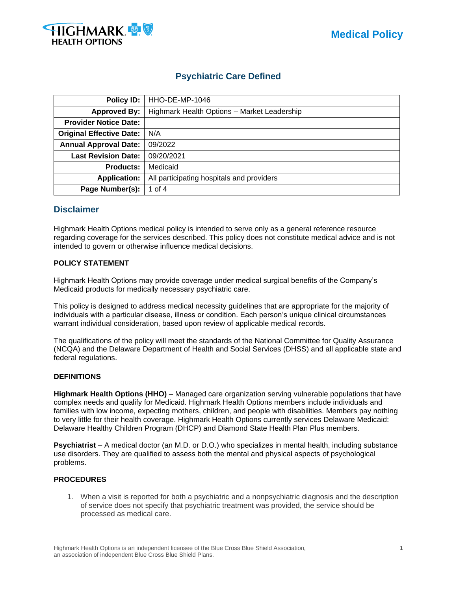

# **Psychiatric Care Defined**

| Policy ID:                      | HHO-DE-MP-1046                              |
|---------------------------------|---------------------------------------------|
| <b>Approved By:</b>             | Highmark Health Options - Market Leadership |
| <b>Provider Notice Date:</b>    |                                             |
| <b>Original Effective Date:</b> | N/A                                         |
| <b>Annual Approval Date:</b>    | 09/2022                                     |
| <b>Last Revision Date:</b>      | 09/20/2021                                  |
| <b>Products:</b>                | Medicaid                                    |
| <b>Application:</b>             | All participating hospitals and providers   |
| Page Number(s):                 | 1 of 4                                      |

# **Disclaimer**

Highmark Health Options medical policy is intended to serve only as a general reference resource regarding coverage for the services described. This policy does not constitute medical advice and is not intended to govern or otherwise influence medical decisions.

## **POLICY STATEMENT**

Highmark Health Options may provide coverage under medical surgical benefits of the Company's Medicaid products for medically necessary psychiatric care.

This policy is designed to address medical necessity guidelines that are appropriate for the majority of individuals with a particular disease, illness or condition. Each person's unique clinical circumstances warrant individual consideration, based upon review of applicable medical records.

The qualifications of the policy will meet the standards of the National Committee for Quality Assurance (NCQA) and the Delaware Department of Health and Social Services (DHSS) and all applicable state and federal regulations.

## **DEFINITIONS**

**Highmark Health Options (HHO)** – Managed care organization serving vulnerable populations that have complex needs and qualify for Medicaid. Highmark Health Options members include individuals and families with low income, expecting mothers, children, and people with disabilities. Members pay nothing to very little for their health coverage. Highmark Health Options currently services Delaware Medicaid: Delaware Healthy Children Program (DHCP) and Diamond State Health Plan Plus members.

**Psychiatrist** – A medical doctor (an M.D. or D.O.) who specializes in mental health, including substance use disorders. They are qualified to assess both the mental and physical aspects of psychological problems.

# **PROCEDURES**

1. When a visit is reported for both a psychiatric and a nonpsychiatric diagnosis and the description of service does not specify that psychiatric treatment was provided, the service should be processed as medical care.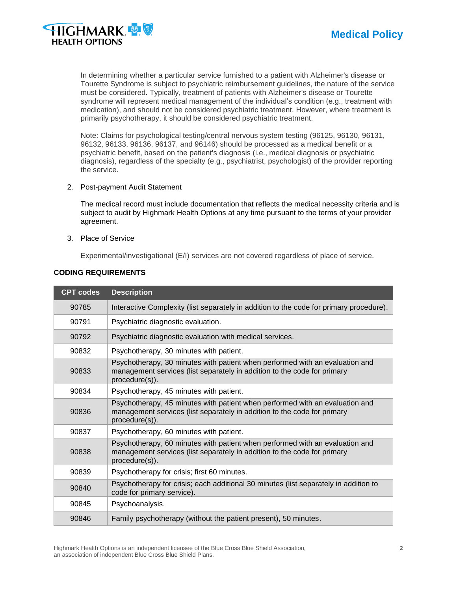



In determining whether a particular service furnished to a patient with Alzheimer's disease or Tourette Syndrome is subject to psychiatric reimbursement guidelines, the nature of the service must be considered. Typically, treatment of patients with Alzheimer's disease or Tourette syndrome will represent medical management of the individual's condition (e.g., treatment with medication), and should not be considered psychiatric treatment. However, where treatment is primarily psychotherapy, it should be considered psychiatric treatment.

Note: Claims for psychological testing/central nervous system testing (96125, 96130, 96131, 96132, 96133, 96136, 96137, and 96146) should be processed as a medical benefit or a psychiatric benefit, based on the patient's diagnosis (i.e., medical diagnosis or psychiatric diagnosis), regardless of the specialty (e.g., psychiatrist, psychologist) of the provider reporting the service.

2. Post-payment Audit Statement

The medical record must include documentation that reflects the medical necessity criteria and is subject to audit by Highmark Health Options at any time pursuant to the terms of your provider agreement.

3. Place of Service

Experimental/investigational (E/I) services are not covered regardless of place of service.

| <b>CPT codes</b> | <b>Description</b>                                                                                                                                                         |
|------------------|----------------------------------------------------------------------------------------------------------------------------------------------------------------------------|
| 90785            | Interactive Complexity (list separately in addition to the code for primary procedure).                                                                                    |
| 90791            | Psychiatric diagnostic evaluation.                                                                                                                                         |
| 90792            | Psychiatric diagnostic evaluation with medical services.                                                                                                                   |
| 90832            | Psychotherapy, 30 minutes with patient.                                                                                                                                    |
| 90833            | Psychotherapy, 30 minutes with patient when performed with an evaluation and<br>management services (list separately in addition to the code for primary<br>procedure(s)). |
| 90834            | Psychotherapy, 45 minutes with patient.                                                                                                                                    |
| 90836            | Psychotherapy, 45 minutes with patient when performed with an evaluation and<br>management services (list separately in addition to the code for primary<br>procedure(s)). |
| 90837            | Psychotherapy, 60 minutes with patient.                                                                                                                                    |
| 90838            | Psychotherapy, 60 minutes with patient when performed with an evaluation and<br>management services (list separately in addition to the code for primary<br>procedure(s)). |
| 90839            | Psychotherapy for crisis; first 60 minutes.                                                                                                                                |
| 90840            | Psychotherapy for crisis; each additional 30 minutes (list separately in addition to<br>code for primary service).                                                         |
| 90845            | Psychoanalysis.                                                                                                                                                            |
| 90846            | Family psychotherapy (without the patient present), 50 minutes.                                                                                                            |

#### **CODING REQUIREMENTS**

Highmark Health Options is an independent licensee of the Blue Cross Blue Shield Association, **2** an association of independent Blue Cross Blue Shield Plans.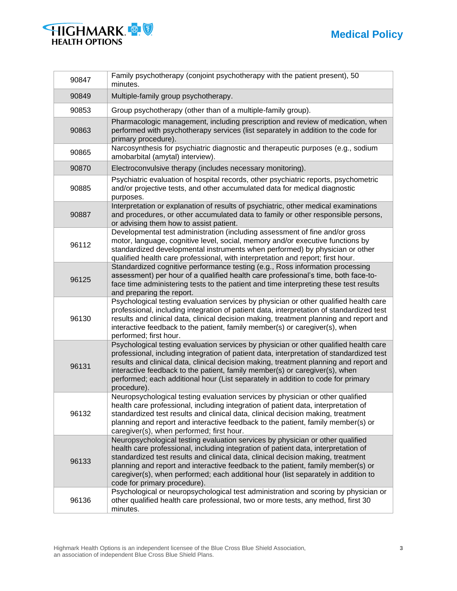



| 90847 | Family psychotherapy (conjoint psychotherapy with the patient present), 50<br>minutes.                                                                                                                                                                                                                                                                                                                                                                             |
|-------|--------------------------------------------------------------------------------------------------------------------------------------------------------------------------------------------------------------------------------------------------------------------------------------------------------------------------------------------------------------------------------------------------------------------------------------------------------------------|
| 90849 | Multiple-family group psychotherapy.                                                                                                                                                                                                                                                                                                                                                                                                                               |
| 90853 | Group psychotherapy (other than of a multiple-family group).                                                                                                                                                                                                                                                                                                                                                                                                       |
| 90863 | Pharmacologic management, including prescription and review of medication, when<br>performed with psychotherapy services (list separately in addition to the code for<br>primary procedure).                                                                                                                                                                                                                                                                       |
| 90865 | Narcosynthesis for psychiatric diagnostic and therapeutic purposes (e.g., sodium<br>amobarbital (amytal) interview).                                                                                                                                                                                                                                                                                                                                               |
| 90870 | Electroconvulsive therapy (includes necessary monitoring).                                                                                                                                                                                                                                                                                                                                                                                                         |
| 90885 | Psychiatric evaluation of hospital records, other psychiatric reports, psychometric<br>and/or projective tests, and other accumulated data for medical diagnostic<br>purposes.                                                                                                                                                                                                                                                                                     |
| 90887 | Interpretation or explanation of results of psychiatric, other medical examinations<br>and procedures, or other accumulated data to family or other responsible persons,<br>or advising them how to assist patient.                                                                                                                                                                                                                                                |
| 96112 | Developmental test administration (including assessment of fine and/or gross<br>motor, language, cognitive level, social, memory and/or executive functions by<br>standardized developmental instruments when performed) by physician or other<br>qualified health care professional, with interpretation and report; first hour.                                                                                                                                  |
| 96125 | Standardized cognitive performance testing (e.g., Ross information processing<br>assessment) per hour of a qualified health care professional's time, both face-to-<br>face time administering tests to the patient and time interpreting these test results<br>and preparing the report.                                                                                                                                                                          |
| 96130 | Psychological testing evaluation services by physician or other qualified health care<br>professional, including integration of patient data, interpretation of standardized test<br>results and clinical data, clinical decision making, treatment planning and report and<br>interactive feedback to the patient, family member(s) or caregiver(s), when<br>performed; first hour.                                                                               |
| 96131 | Psychological testing evaluation services by physician or other qualified health care<br>professional, including integration of patient data, interpretation of standardized test<br>results and clinical data, clinical decision making, treatment planning and report and<br>interactive feedback to the patient, family member(s) or caregiver(s), when<br>performed; each additional hour (List separately in addition to code for primary<br>procedure).      |
| 96132 | Neuropsychological testing evaluation services by physician or other qualified<br>health care professional, including integration of patient data, interpretation of<br>standardized test results and clinical data, clinical decision making, treatment<br>planning and report and interactive feedback to the patient, family member(s) or<br>caregiver(s), when performed; first hour.                                                                          |
| 96133 | Neuropsychological testing evaluation services by physician or other qualified<br>health care professional, including integration of patient data, interpretation of<br>standardized test results and clinical data, clinical decision making, treatment<br>planning and report and interactive feedback to the patient, family member(s) or<br>caregiver(s), when performed; each additional hour (list separately in addition to<br>code for primary procedure). |
| 96136 | Psychological or neuropsychological test administration and scoring by physician or<br>other qualified health care professional, two or more tests, any method, first 30<br>minutes.                                                                                                                                                                                                                                                                               |